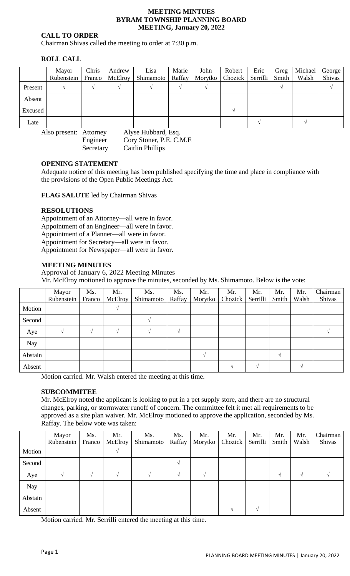#### **MEETING MINTUES BYRAM TOWNSHIP PLANNING BOARD MEETING, January 20, 2022**

### **CALL TO ORDER**

Chairman Shivas called the meeting to order at 7:30 p.m.

# **ROLL CALL**

|         | Mayor<br>Rubenstein | Chris | Andrew<br>Franco   McElroy | Lisa<br>Shimamoto | Marie<br>Raffay | John | Robert<br>Morytko   Chozick   Serrilli | Eric | Greg<br>Smith | Michael<br>Walsh | George<br>Shivas |
|---------|---------------------|-------|----------------------------|-------------------|-----------------|------|----------------------------------------|------|---------------|------------------|------------------|
| Present |                     |       |                            |                   |                 |      |                                        |      |               |                  |                  |
| Absent  |                     |       |                            |                   |                 |      |                                        |      |               |                  |                  |
| Excused |                     |       |                            |                   |                 |      |                                        |      |               |                  |                  |
| Late    |                     |       |                            |                   |                 |      |                                        |      |               |                  |                  |

Also present: Attorney Alyse Hubbard, Esq. Engineer Cory Stoner, P.E. C.M.E Secretary Caitlin Phillips

### **OPENING STATEMENT**

Adequate notice of this meeting has been published specifying the time and place in compliance with the provisions of the Open Public Meetings Act.

**FLAG SALUTE** led by Chairman Shivas

### **RESOLUTIONS**

Appointment of an Attorney—all were in favor. Appointment of an Engineer—all were in favor. Appointment of a Planner—all were in favor. Appointment for Secretary—all were in favor. Appointment for Newspaper—all were in favor.

### **MEETING MINUTES**

Approval of January 6, 2022 Meeting Minutes Mr. McElroy motioned to approve the minutes, seconded by Ms. Shimamoto. Below is the vote:

|            | Mayor<br>Rubenstein | Ms.<br>Franco | Mr.<br>McElroy | Ms.<br>Shimamoto | Ms.<br>Raffay | Mr.<br>Morytko | Mr.<br>Chozick | Mr.<br>Serrilli | Mr.<br>Smith | Mr.<br>Walsh  | Chairman<br>Shivas |
|------------|---------------------|---------------|----------------|------------------|---------------|----------------|----------------|-----------------|--------------|---------------|--------------------|
| Motion     |                     |               | $\mathcal{N}$  |                  |               |                |                |                 |              |               |                    |
| Second     |                     |               |                |                  |               |                |                |                 |              |               |                    |
| Aye        |                     | $\sqrt{ }$    | $\Delta$       |                  | $\sqrt{ }$    |                |                |                 |              |               |                    |
| <b>Nay</b> |                     |               |                |                  |               |                |                |                 |              |               |                    |
| Abstain    |                     |               |                |                  |               | $\mathcal{N}$  |                |                 | $\sqrt{ }$   |               |                    |
| Absent     |                     |               |                |                  |               |                |                |                 |              | $\mathcal{N}$ |                    |

Motion carried. Mr. Walsh entered the meeting at this time.

#### **SUBCOMMITEE**

Mr. McElroy noted the applicant is looking to put in a pet supply store, and there are no structural changes, parking, or stormwater runoff of concern. The committee felt it met all requirements to be approved as a site plan waiver. Mr. McElroy motioned to approve the application, seconded by Ms. Raffay. The below vote was taken:

|         | Mayor      | Ms.           | Mr.     | Ms.       | Ms.      | Mr.           | Mr.     | Mr.      | Mr.        | Mr.        | Chairman |
|---------|------------|---------------|---------|-----------|----------|---------------|---------|----------|------------|------------|----------|
|         | Rubenstein | Franco        | McElroy | Shimamoto | Raffay   | Morytko       | Chozick | Serrilli | Smith      | Walsh      | Shivas   |
| Motion  |            |               | $\sim$  |           |          |               |         |          |            |            |          |
| Second  |            |               |         |           | $\Delta$ |               |         |          |            |            |          |
| Aye     |            | $\mathcal{N}$ |         |           | $\Delta$ | $\mathcal{N}$ |         |          | $\sqrt{ }$ | $\sqrt{ }$ |          |
| Nay     |            |               |         |           |          |               |         |          |            |            |          |
| Abstain |            |               |         |           |          |               |         |          |            |            |          |
| Absent  |            |               |         |           |          |               |         |          |            |            |          |

Motion carried. Mr. Serrilli entered the meeting at this time.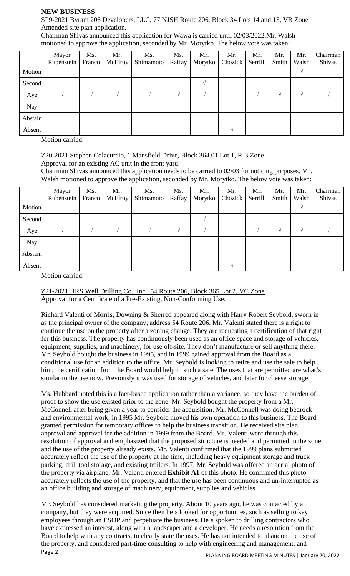### **NEW BUSINESS**

#### SP9-2021 Byram 206 Developers, LLC, 77 NJSH Route 206, Block 34 Lots 14 and 15, VB Zone Amended site plan application.

Chairman Shivas announced this application for Wawa is carried until 02/03/2022.Mr. Walsh motioned to approve the application, seconded by Mr. Morytko. The below vote was taken:

|            | Mayor      | Ms.           | Mr.      | Ms.       | Ms.    | Mr.           | Mr.     | Mr.      | Mr.           | Mr.           | Chairman |
|------------|------------|---------------|----------|-----------|--------|---------------|---------|----------|---------------|---------------|----------|
|            | Rubenstein | Franco        | McElroy  | Shimamoto | Raffay | Morytko       | Chozick | Serrilli | Smith         | Walsh         | Shivas   |
| Motion     |            |               |          |           |        |               |         |          |               | $\sqrt{ }$    |          |
| Second     |            |               |          |           |        | $\mathcal{N}$ |         |          |               |               |          |
| Aye        |            | $\mathcal{N}$ | $\Delta$ |           | $\sim$ | $\mathcal{N}$ |         |          | $\mathcal{N}$ | $\mathcal{N}$ |          |
| <b>Nay</b> |            |               |          |           |        |               |         |          |               |               |          |
| Abstain    |            |               |          |           |        |               |         |          |               |               |          |
| Absent     |            |               |          |           |        |               |         |          |               |               |          |

Motion carried.

# Z20-2021 Stephen Colacurcio, 1 Mansfield Drive, Block 364.01 Lot 1, R-3 Zone

Approval for an existing AC unit in the front yard.

Chairman Shivas announced this application needs to be carried to 02/03 for noticing purposes. Mr. Walsh motioned to approve the application, seconded by Mr. Morytko. The below vote was taken:

|         | Mayor<br>Rubenstein | Ms.<br>Franco | Mr.<br>McElroy | Ms.<br>Shimamoto | Ms.<br>Raffay | Mr.<br>Morytko | Mr.<br>Chozick | Mr.<br>Serrilli | Mr.<br>Smith | Mr.<br>Walsh | Chairman<br>Shivas |
|---------|---------------------|---------------|----------------|------------------|---------------|----------------|----------------|-----------------|--------------|--------------|--------------------|
| Motion  |                     |               |                |                  |               |                |                |                 |              | V            |                    |
| Second  |                     |               |                |                  |               |                |                |                 |              |              |                    |
| Aye     |                     | $\Delta$      |                |                  |               |                |                |                 | $\sqrt{ }$   | $\sqrt{ }$   |                    |
| Nay     |                     |               |                |                  |               |                |                |                 |              |              |                    |
| Abstain |                     |               |                |                  |               |                |                |                 |              |              |                    |
| Absent  |                     |               |                |                  |               |                |                |                 |              |              |                    |

Motion carried.

Z21-2021 HRS Well Drilling Co., Inc., 54 Route 206, Block 365 Lot 2, VC Zone Approval for a Certificate of a Pre-Existing, Non-Conforming Use.

Richard Valenti of Morris, Downing & Sherred appeared along with Harry Robert Seybold, sworn in as the principal owner of the company, address 54 Route 206. Mr. Valenti stated there is a right to continue the use on the property after a zoning change. They are requesting a certification of that right for this business. The property has continuously been used as an office space and storage of vehicles, equipment, supplies, and machinery, for use off-site. They don't manufacture or sell anything there. Mr. Seybold bought the business in 1995, and in 1999 gained approval from the Board as a conditional use for an addition to the office. Mr. Seybold is looking to retire and use the sale to help him; the certification from the Board would help in such a sale. The uses that are permitted are what's similar to the use now. Previously it was used for storage of vehicles, and later for cheese storage.

Ms. Hubbard noted this is a fact-based application rather than a variance, so they have the burden of proof to show the use existed prior to the zone. Mr. Seybold bought the property from a Mr. McConnell after being given a year to consider the acquisition. Mr. McConnell was doing bedrock and environmental work; in 1995 Mr. Seybold moved his own operation to this business. The Board granted permission for temporary offices to help the business transition. He received site plan approval and approval for the addition in 1999 from the Board. Mr. Valenti went through this resolution of approval and emphasized that the proposed structure is needed and permitted in the zone and the use of the property already exists. Mr. Valenti confirmed that the 1999 plans submitted accurately reflect the use of the property at the time, including heavy equipment storage and truck parking, drill tool storage, and existing trailers. In 1997, Mr. Seybold was offered an aerial photo of the property via airplane; Mr. Valenti entered **Exhibit A1** of this photo. He confirmed this photo accurately reflects the use of the property, and that the use has been continuous and un-interrupted as an office building and storage of machinery, equipment, supplies and vehicles.

Page 2 PLANNING BOARD MEETING MINUTES | January 20, 2022 Mr. Seybold has considered marketing the property. About 10 years ago, he was contacted by a company, but they were acquired. Since then he's looked for opportunities, such as selling to key employees through an ESOP and perpetuate the business. He's spoken to drilling contractors who have expressed an interest, along with a landscaper and a developer. He needs a resolution from the Board to help with any contracts, to clearly state the uses. He has not intended to abandon the use of the property, and considered part-time consulting to help with engineering and management, and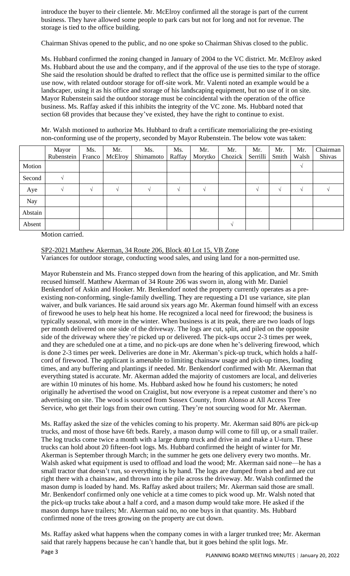introduce the buyer to their clientele. Mr. McElroy confirmed all the storage is part of the current business. They have allowed some people to park cars but not for long and not for revenue. The storage is tied to the office building.

Chairman Shivas opened to the public, and no one spoke so Chairman Shivas closed to the public.

Ms. Hubbard confirmed the zoning changed in January of 2004 to the VC district. Mr. McElroy asked Ms. Hubbard about the use and the company, and if the approval of the use ties to the type of storage. She said the resolution should be drafted to reflect that the office use is permitted similar to the office use now, with related outdoor storage for off-site work. Mr. Valenti noted an example would be a landscaper, using it as his office and storage of his landscaping equipment, but no use of it on site. Mayor Rubenstein said the outdoor storage must be coincidental with the operation of the office business. Ms. Raffay asked if this inhibits the integrity of the VC zone. Ms. Hubbard noted that section 68 provides that because they've existed, they have the right to continue to exist.

Mr. Walsh motioned to authorize Ms. Hubbard to draft a certificate memorializing the pre-existing non-conforming use of the property, seconded by Mayor Rubenstein. The below vote was taken:

|         | Mayor<br>Rubenstein | Ms.<br>Franco | Mr.<br>McElroy | Ms.<br>Shimamoto | Ms.<br>Raffay | Mr.<br>Morytko | Mr.<br>Chozick | Mr.<br>Serrilli | Mr.<br>Smith | Mr.<br>Walsh | Chairman<br>Shivas |
|---------|---------------------|---------------|----------------|------------------|---------------|----------------|----------------|-----------------|--------------|--------------|--------------------|
| Motion  |                     |               |                |                  |               |                |                |                 |              | V            |                    |
| Second  |                     |               |                |                  |               |                |                |                 |              |              |                    |
| Aye     |                     |               |                |                  |               |                |                |                 | $\Delta$     | ٦I           |                    |
| Nay     |                     |               |                |                  |               |                |                |                 |              |              |                    |
| Abstain |                     |               |                |                  |               |                |                |                 |              |              |                    |
| Absent  |                     |               |                |                  |               |                |                |                 |              |              |                    |

Motion carried.

SP2-2021 Matthew Akerman, 34 Route 206, Block 40 Lot 15, VB Zone Variances for outdoor storage, conducting wood sales, and using land for a non-permitted use.

Mayor Rubenstein and Ms. Franco stepped down from the hearing of this application, and Mr. Smith recused himself. Matthew Akerman of 34 Route 206 was sworn in, along with Mr. Daniel Benkendorf of Askin and Hooker. Mr. Benkendorf noted the property currently operates as a preexisting non-conforming, single-family dwelling. They are requesting a D1 use variance, site plan waiver, and bulk variances. He said around six years ago Mr. Akerman found himself with an excess of firewood he uses to help heat his home. He recognized a local need for firewood; the business is typically seasonal, with more in the winter. When business is at its peak, there are two loads of logs per month delivered on one side of the driveway. The logs are cut, split, and piled on the opposite side of the driveway where they're picked up or delivered. The pick-ups occur 2-3 times per week, and they are scheduled one at a time, and no pick-ups are done when he's delivering firewood, which is done 2-3 times per week. Deliveries are done in Mr. Akerman's pick-up truck, which holds a halfcord of firewood. The applicant is amenable to limiting chainsaw usage and pick-up times, loading times, and any buffering and plantings if needed. Mr. Benkendorf confirmed with Mr. Akerman that everything stated is accurate. Mr. Akerman added the majority of customers are local, and deliveries are within 10 minutes of his home. Ms. Hubbard asked how he found his customers; he noted originally he advertised the wood on Craiglist, but now everyone is a repeat customer and there's no advertising on site. The wood is sourced from Sussex County, from Alonso at All Access Tree Service, who get their logs from their own cutting. They're not sourcing wood for Mr. Akerman.

Ms. Raffay asked the size of the vehicles coming to his property. Mr. Akerman said 80% are pick-up trucks, and most of those have 6ft beds. Rarely, a mason dump will come to fill up, or a small trailer. The log trucks come twice a month with a large dump truck and drive in and make a U-turn. These trucks can hold about 20 fifteen-foot logs. Ms. Hubbard confirmed the height of winter for Mr. Akerman is September through March; in the summer he gets one delivery every two months. Mr. Walsh asked what equipment is used to offload and load the wood; Mr. Akerman said none—he has a small tractor that doesn't run, so everything is by hand. The logs are dumped from a bed and are cut right there with a chainsaw, and thrown into the pile across the driveway. Mr. Walsh confirmed the mason dump is loaded by hand. Ms. Raffay asked about trailers; Mr. Akerman said those are small. Mr. Benkendorf confirmed only one vehicle at a time comes to pick wood up. Mr. Walsh noted that the pick-up trucks take about a half a cord, and a mason dump would take more. He asked if the mason dumps have trailers; Mr. Akerman said no, no one buys in that quantity. Ms. Hubbard confirmed none of the trees growing on the property are cut down.

Page 3 Ms. Raffay asked what happens when the company comes in with a larger trunked tree; Mr. Akerman said that rarely happens because he can't handle that, but it goes behind the split logs. Mr.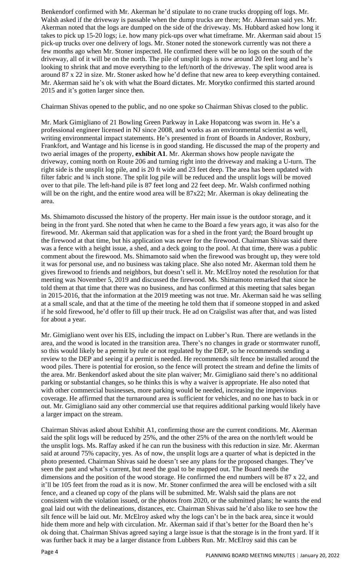Benkendorf confirmed with Mr. Akerman he'd stipulate to no crane trucks dropping off logs. Mr. Walsh asked if the driveway is passable when the dump trucks are there; Mr. Akerman said yes. Mr. Akerman noted that the logs are dumped on the side of the driveway. Ms. Hubbard asked how long it takes to pick up 15-20 logs; i.e. how many pick-ups over what timeframe. Mr. Akerman said about 15 pick-up trucks over one delivery of logs. Mr. Stoner noted the stonework currently was not there a few months ago when Mr. Stoner inspected. He confirmed there will be no logs on the south of the driveway, all of it will be on the north. The pile of unsplit logs is now around 20 feet long and he's looking to shrink that and move everything to the left/north of the driveway. The split wood area is around 87 x 22 in size. Mr. Stoner asked how he'd define that new area to keep everything contained. Mr. Akerman said he's ok with what the Board dictates. Mr. Morytko confirmed this started around 2015 and it's gotten larger since then.

Chairman Shivas opened to the public, and no one spoke so Chairman Shivas closed to the public.

Mr. Mark Gimigliano of 21 Bowling Green Parkway in Lake Hopatcong was sworn in. He's a professional engineer licensed in NJ since 2008, and works as an environmental scientist as well, writing environmental impact statements. He's presented in front of Boards in Andover, Roxbury, Frankfort, and Wantage and his license is in good standing. He discussed the map of the property and two aerial images of the property, **exhibit A1**. Mr. Akerman shows how people navigate the driveway, coming north on Route 206 and turning right into the driveway and making a U-turn. The right side is the unsplit log pile, and is 20 ft wide and 23 feet deep. The area has been updated with filter fabric and ¾ inch stone. The split log pile will be reduced and the unsplit logs will be moved over to that pile. The left-hand pile is 87 feet long and 22 feet deep. Mr. Walsh confirmed nothing will be on the right, and the entire wood area will be 87x22; Mr. Akerman is okay delineating the area.

Ms. Shimamoto discussed the history of the property. Her main issue is the outdoor storage, and it being in the front yard. She noted that when he came to the Board a few years ago, it was also for the firewood. Mr. Akerman said that application was for a shed in the front yard; the Board brought up the firewood at that time, but his application was never for the firewood. Chairman Shivas said there was a fence with a height issue, a shed, and a deck going to the pool. At that time, there was a public comment about the firewood. Ms. Shimamoto said when the firewood was brought up, they were told it was for personal use, and no business was taking place. She also noted Mr. Akerman told them he gives firewood to friends and neighbors, but doesn't sell it. Mr. McElroy noted the resolution for that meeting was November 5, 2019 and discussed the firewood. Ms. Shimamoto remarked that since he told them at that time that there was no business, and has confirmed at this meeting that sales began in 2015-2016, that the information at the 2019 meeting was not true. Mr. Akerman said he was selling at a small scale, and that at the time of the meeting he told them that if someone stopped in and asked if he sold firewood, he'd offer to fill up their truck. He ad on Craigslist was after that, and was listed for about a year.

Mr. Gimigliano went over his EIS, including the impact on Lubber's Run. There are wetlands in the area, and the wood is located in the transition area. There's no changes in grade or stormwater runoff, so this would likely be a permit by rule or not regulated by the DEP, so he recommends sending a review to the DEP and seeing if a permit is needed. He recommends silt fence be installed around the wood piles. There is potential for erosion, so the fence will protect the stream and define the limits of the area. Mr. Benkendorf asked about the site plan waiver; Mr. Gimigliano said there's no additional parking or substantial changes, so he thinks this is why a waiver is appropriate. He also noted that with other commercial businesses, more parking would be needed, increasing the impervious coverage. He affirmed that the turnaround area is sufficient for vehicles, and no one has to back in or out. Mr. Gimigliano said any other commercial use that requires additional parking would likely have a larger impact on the stream.

Chairman Shivas asked about Exhibit A1, confirming those are the current conditions. Mr. Akerman said the split logs will be reduced by 25%, and the other 25% of the area on the north/left would be the unsplit logs. Ms. Raffay asked if he can run the business with this reduction in size. Mr. Akerman said at around 75% capacity, yes. As of now, the unsplit logs are a quarter of what is depicted in the photo presented. Chairman Shivas said he doesn't see any plans for the proposed changes. They've seen the past and what's current, but need the goal to be mapped out. The Board needs the dimensions and the position of the wood storage. He confirmed the end numbers will be 87 x 22, and it'll be 105 feet from the road as it is now. Mr. Stoner confirmed the area will be enclosed with a silt fence, and a cleaned up copy of the plans will be submitted. Mr. Walsh said the plans are not consistent with the violation issued, or the photos from 2020, or the submitted plans; he wants the end goal laid out with the delineations, distances, etc. Chairman Shivas said he'd also like to see how the silt fence will be laid out. Mr. McElroy asked why the logs can't be in the back area, since it would hide them more and help with circulation. Mr. Akerman said if that's better for the Board then he's ok doing that. Chairman Shivas agreed saying a large issue is that the storage is in the front yard. If it was further back it may be a larger distance from Lubbers Run. Mr. McElroy said this can be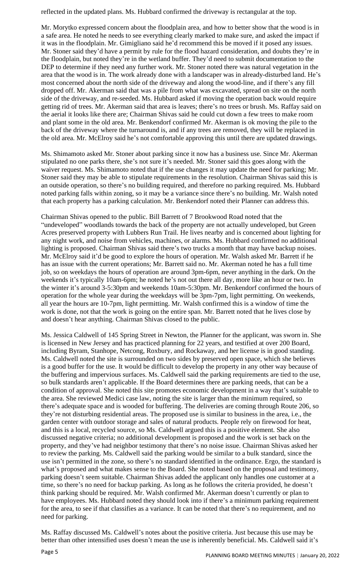reflected in the updated plans. Ms. Hubbard confirmed the driveway is rectangular at the top.

Mr. Morytko expressed concern about the floodplain area, and how to better show that the wood is in a safe area. He noted he needs to see everything clearly marked to make sure, and asked the impact if it was in the floodplain. Mr. Gimigliano said he'd recommend this be moved if it posed any issues. Mr. Stoner said they'd have a permit by rule for the flood hazard consideration, and doubts they're in the floodplain, but noted they're in the wetland buffer. They'd need to submit documentation to the DEP to determine if they need any further work. Mr. Stoner noted there was natural vegetation in the area that the wood is in. The work already done with a landscaper was in already-disturbed land. He's most concerned about the north side of the driveway and along the wood-line, and if there's any fill dropped off. Mr. Akerman said that was a pile from what was excavated, spread on site on the north side of the driveway, and re-seeded. Ms. Hubbard asked if moving the operation back would require getting rid of trees. Mr. Akerman said that area is leaves; there's no trees or brush. Ms. Raffay said on the aerial it looks like there are; Chairman Shivas said he could cut down a few trees to make room and plant some in the old area. Mr. Benkendorf confirmed Mr. Akerman is ok moving the pile to the back of the driveway where the turnaround is, and if any trees are removed, they will be replaced in the old area. Mr. McElroy said he's not comfortable approving this until there are updated drawings.

Ms. Shimamoto asked Mr. Stoner about parking since it now has a business use. Since Mr. Akerman stipulated no one parks there, she's not sure it's needed. Mr. Stoner said this goes along with the waiver request. Ms. Shimamoto noted that if the use changes it may update the need for parking; Mr. Stoner said they may be able to stipulate requirements in the resolution. Chairman Shivas said this is an outside operation, so there's no building required, and therefore no parking required. Ms. Hubbard noted parking falls within zoning, so it may be a variance since there's no building. Mr. Walsh noted that each property has a parking calculation. Mr. Benkendorf noted their Planner can address this.

Chairman Shivas opened to the public. Bill Barrett of 7 Brookwood Road noted that the "undeveloped" woodlands towards the back of the property are not actually undeveloped, but Green Acres preserved property with Lubbers Run Trail. He lives nearby and is concerned about lighting for any night work, and noise from vehicles, machines, or alarms. Ms. Hubbard confirmed no additional lighting is proposed. Chairman Shivas said there's two trucks a month that may have backup noises. Mr. McElroy said it'd be good to explore the hours of operation. Mr. Walsh asked Mr. Barrett if he has an issue with the current operations; Mr. Barrett said no. Mr. Akerman noted he has a full time job, so on weekdays the hours of operation are around 3pm-6pm, never anything in the dark. On the weekends it's typically 10am-6pm; he noted he's not out there all day, more like an hour or two. In the winter it's around 3-5:30pm and weekends 10am-5:30pm. Mr. Benkendorf confirmed the hours of operation for the whole year during the weekdays will be 3pm-7pm, light permitting. On weekends, all year the hours are 10-7pm, light permitting. Mr. Walsh confirmed this is a window of time the work is done, not that the work is going on the entire span. Mr. Barrett noted that he lives close by and doesn't hear anything. Chairman Shivas closed to the public.

Ms. Jessica Caldwell of 145 Spring Street in Newton, the Planner for the applicant, was sworn in. She is licensed in New Jersey and has practiced planning for 22 years, and testified at over 200 Board, including Byram, Stanhope, Netcong, Roxbury, and Rockaway, and her license is in good standing. Ms. Caldwell noted the site is surrounded on two sides by preserved open space, which she believes is a good buffer for the use. It would be difficult to develop the property in any other way because of the buffering and impervious surfaces. Ms. Caldwell said the parking requirements are tied to the use, so bulk standards aren't applicable. If the Board determines there are parking needs, that can be a condition of approval. She noted this site promotes economic development in a way that's suitable to the area. She reviewed Medici case law, noting the site is larger than the minimum required, so there's adequate space and is wooded for buffering. The deliveries are coming through Route 206, so they're not disturbing residential areas. The proposed use is similar to business in the area, i.e., the garden center with outdoor storage and sales of natural products. People rely on firewood for heat, and this is a local, recycled source, so Ms. Caldwell argued this is a positive element. She also discussed negative criteria; no additional development is proposed and the work is set back on the property, and they've had neighbor testimony that there's no noise issue. Chairman Shivas asked her to review the parking. Ms. Caldwell said the parking would be similar to a bulk standard, since the use isn't permitted in the zone, so there's no standard identified in the ordinance. Ergo, the standard is what's proposed and what makes sense to the Board. She noted based on the proposal and testimony, parking doesn't seem suitable. Chairman Shivas added the applicant only handles one customer at a time, so there's no need for backup parking. As long as he follows the criteria provided, he doesn't think parking should be required. Mr. Walsh confirmed Mr. Akerman doesn't currently or plan to have employees. Ms. Hubbard noted they should look into if there's a minimum parking requirement for the area, to see if that classifies as a variance. It can be noted that there's no requirement, and no need for parking.

Ms. Raffay discussed Ms. Caldwell's notes about the positive criteria. Just because this use may be better than other intensified uses doesn't mean the use is inherently beneficial. Ms. Caldwell said it's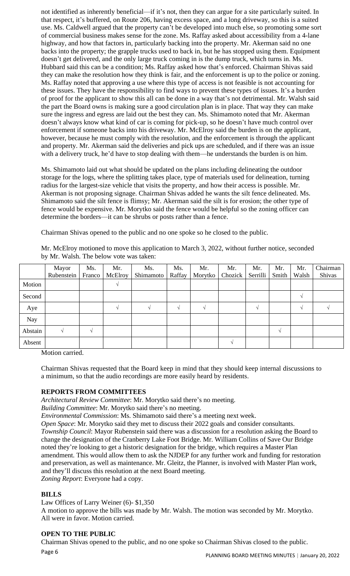not identified as inherently beneficial—if it's not, then they can argue for a site particularly suited. In that respect, it's buffered, on Route 206, having excess space, and a long driveway, so this is a suited use. Ms. Caldwell argued that the property can't be developed into much else, so promoting some sort of commercial business makes sense for the zone. Ms. Raffay asked about accessibility from a 4-lane highway, and how that factors in, particularly backing into the property. Mr. Akerman said no one backs into the property; the grapple trucks used to back in, but he has stopped using them. Equipment doesn't get delivered, and the only large truck coming in is the dump truck, which turns in. Ms. Hubbard said this can be a condition; Ms. Raffay asked how that's enforced. Chairman Shivas said they can make the resolution how they think is fair, and the enforcement is up to the police or zoning. Ms. Raffay noted that approving a use where this type of access is not feasible is not accounting for these issues. They have the responsibility to find ways to prevent these types of issues. It's a burden of proof for the applicant to show this all can be done in a way that's not detrimental. Mr. Walsh said the part the Board owns is making sure a good circulation plan is in place. That way they can make sure the ingress and egress are laid out the best they can. Ms. Shimamoto noted that Mr. Akerman doesn't always know what kind of car is coming for pick-up, so he doesn't have much control over enforcement if someone backs into his driveway. Mr. McElroy said the burden is on the applicant, however, because he must comply with the resolution, and the enforcement is through the applicant and property. Mr. Akerman said the deliveries and pick ups are scheduled, and if there was an issue with a delivery truck, he'd have to stop dealing with them—he understands the burden is on him.

Ms. Shimamoto laid out what should be updated on the plans including delineating the outdoor storage for the logs, where the splitting takes place, type of materials used for delineation, turning radius for the largest-size vehicle that visits the property, and how their access is possible. Mr. Akerman is not proposing signage. Chairman Shivas added he wants the silt fence delineated. Ms. Shimamoto said the silt fence is flimsy; Mr. Akerman said the silt is for erosion; the other type of fence would be expensive. Mr. Morytko said the fence would be helpful so the zoning officer can determine the borders—it can be shrubs or posts rather than a fence.

Chairman Shivas opened to the public and no one spoke so he closed to the public.

|            | Mayor      | Ms.    | Mr.     | Ms.       | Ms.    | Mr.     | Mr.     | Mr.      | Mr.   | Mr.   | Chairman |
|------------|------------|--------|---------|-----------|--------|---------|---------|----------|-------|-------|----------|
|            | Rubenstein | Franco | McElroy | Shimamoto | Raffay | Morytko | Chozick | Serrilli | Smith | Walsh | Shivas   |
| Motion     |            |        |         |           |        |         |         |          |       |       |          |
| Second     |            |        |         |           |        |         |         |          |       |       |          |
| Aye        |            |        |         |           |        |         |         |          |       |       |          |
| <b>Nay</b> |            |        |         |           |        |         |         |          |       |       |          |
| Abstain    |            |        |         |           |        |         |         |          |       |       |          |
| Absent     |            |        |         |           |        |         |         |          |       |       |          |

Mr. McElroy motioned to move this application to March 3, 2022, without further notice, seconded by Mr. Walsh. The below vote was taken:

Motion carried.

Chairman Shivas requested that the Board keep in mind that they should keep internal discussions to a minimum, so that the audio recordings are more easily heard by residents.

# **REPORTS FROM COMMITTEES**

*Architectural Review Committee*: Mr. Morytko said there's no meeting.

*Building Committee*: Mr. Morytko said there's no meeting.

*Environmental Commission*: Ms. Shimamoto said there's a meeting next week.

*Open Space*: Mr. Morytko said they met to discuss their 2022 goals and consider consultants. *Township Council*: Mayor Rubenstein said there was a discussion for a resolution asking the Board to change the designation of the Cranberry Lake Foot Bridge. Mr. William Collins of Save Our Bridge noted they're looking to get a historic designation for the bridge, which requires a Master Plan amendment. This would allow them to ask the NJDEP for any further work and funding for restoration and preservation, as well as maintenance. Mr. Gleitz, the Planner, is involved with Master Plan work, and they'll discuss this resolution at the next Board meeting. *Zoning Report*: Everyone had a copy.

# **BILLS**

Law Offices of Larry Weiner (6)- \$1,350

A motion to approve the bills was made by Mr. Walsh. The motion was seconded by Mr. Morytko. All were in favor. Motion carried.

# **OPEN TO THE PUBLIC**

Page 6 Chairman Shivas opened to the public, and no one spoke so Chairman Shivas closed to the public.